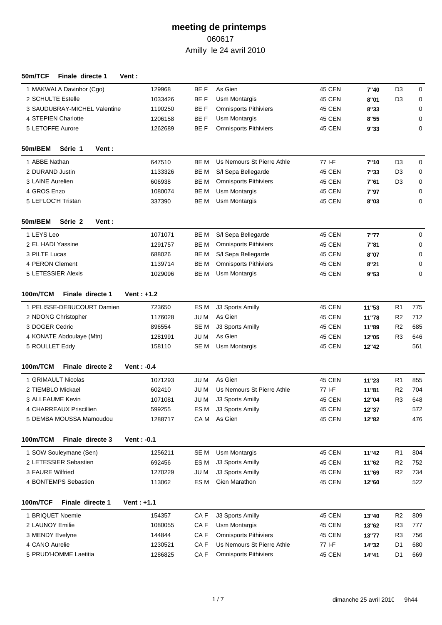| 50m/TCF<br>Finale directe 1  | Vent :             |                 |                              |               |       |                |     |
|------------------------------|--------------------|-----------------|------------------------------|---------------|-------|----------------|-----|
| 1 MAKWALA Davinhor (Cgo)     | 129968             | BE F            | As Gien                      | 45 CEN        | 7"40  | D <sub>3</sub> | 0   |
| 2 SCHULTE Estelle            | 1033426            | BE F            | Usm Montargis                | <b>45 CEN</b> | 8"01  | D <sub>3</sub> | 0   |
| 3 SAUDUBRAY-MICHEL Valentine | 1190250            | BE F            | <b>Omnisports Pithiviers</b> | <b>45 CEN</b> | 8"33  |                | 0   |
| 4 STEPIEN Charlotte          | 1206158            | BE F            | Usm Montargis                | <b>45 CEN</b> | 8"55  |                | 0   |
| 5 LETOFFE Aurore             | 1262689            | BE F            | <b>Omnisports Pithiviers</b> | <b>45 CEN</b> | 9"33  |                | 0   |
| 50m/BEM<br>Série 1<br>Vent : |                    |                 |                              |               |       |                |     |
| 1 ABBE Nathan                | 647510             | BE M            | Us Nemours St Pierre Athle   | 77 I-F        | 7"10  | D <sub>3</sub> | 0   |
| 2 DURAND Justin              | 1133326            | BE M            | S/I Sepa Bellegarde          | <b>45 CEN</b> | 7"33  | D <sub>3</sub> | 0   |
| 3 LAINE Aurelien             | 606938             | BE M            | <b>Omnisports Pithiviers</b> | 45 CEN        | 7"61  | D <sub>3</sub> | 0   |
| 4 GROS Enzo                  | 1080074            | BE M            | Usm Montargis                | 45 CEN        | 7"97  |                | 0   |
| 5 LEFLOC'H Tristan           | 337390             | BE M            | Usm Montargis                | <b>45 CEN</b> | 8"03  |                | 0   |
| 50m/BEM<br>Série 2<br>Vent:  |                    |                 |                              |               |       |                |     |
| 1 LEYS Leo                   | 1071071            | BE M            | S/I Sepa Bellegarde          | 45 CEN        | 7"77  |                | 0   |
| 2 EL HADI Yassine            | 1291757            | BE M            | <b>Omnisports Pithiviers</b> | <b>45 CEN</b> | 7"81  |                | 0   |
| 3 PILTE Lucas                | 688026             | BE M            | S/I Sepa Bellegarde          | <b>45 CEN</b> | 8"07  |                | 0   |
| 4 PERON Clement              | 1139714            | BE M            | <b>Omnisports Pithiviers</b> | 45 CEN        | 8"21  |                | 0   |
| 5 LETESSIER Alexis           | 1029096            | BE M            | Usm Montargis                | <b>45 CEN</b> | 9"53  |                | 0   |
| Finale directe 1<br>100m/TCM | <b>Vent</b> : +1.2 |                 |                              |               |       |                |     |
| 1 PELISSE-DEBUCOURT Damien   | 723650             | ES M            | J3 Sports Amilly             | 45 CEN        | 11"53 | R <sub>1</sub> | 775 |
| 2 NDONG Christopher          | 1176028            | JU M            | As Gien                      | 45 CEN        | 11"78 | R <sub>2</sub> | 712 |
| 3 DOGER Cedric               | 896554             | SE M            | J3 Sports Amilly             | <b>45 CEN</b> | 11"89 | R <sub>2</sub> | 685 |
| 4 KONATE Abdoulaye (Mtn)     | 1281991            | JU M            | As Gien                      | <b>45 CEN</b> | 12"05 | R <sub>3</sub> | 646 |
| 5 ROULLET Eddy               | 158110             | SE M            | Usm Montargis                | 45 CEN        | 12"42 |                | 561 |
| 100m/TCM<br>Finale directe 2 | <b>Vent</b> : -0.4 |                 |                              |               |       |                |     |
| 1 GRIMAULT Nicolas           | 1071293            | JU M            | As Gien                      | 45 CEN        | 11"23 | R <sub>1</sub> | 855 |
| 2 TIEMBLO Mickael            | 602410             | JU M            | Us Nemours St Pierre Athle   | 77 I-F        | 11"81 | R <sub>2</sub> | 704 |
| 3 ALLEAUME Kevin             | 1071081            | JU M            | J3 Sports Amilly             | <b>45 CEN</b> | 12"04 | R <sub>3</sub> | 648 |
| 4 CHARREAUX Priscillien      | 599255             | ES M            | J3 Sports Amilly             | 45 CEN        | 12"37 |                | 572 |
| 5 DEMBA MOUSSA Mamoudou      | 1288717            | CA M            | As Gien                      | 45 CEN        | 12"82 |                | 476 |
| 100m/TCM<br>Finale directe 3 | Vent: $-0.1$       |                 |                              |               |       |                |     |
| 1 SOW Souleymane (Sen)       | 1256211            | SE M            | Usm Montargis                | <b>45 CEN</b> | 11"42 | R <sub>1</sub> | 804 |
| 2 LETESSIER Sebastien        | 692456             | ES M            | J3 Sports Amilly             | <b>45 CEN</b> | 11"62 | R <sub>2</sub> | 752 |
| 3 FAURE Wilfried             | 1270229            | JU M            | J3 Sports Amilly             | 45 CEN        | 11"69 | R <sub>2</sub> | 734 |
| 4 BONTEMPS Sebastien         | 113062             | ES <sub>M</sub> | Gien Marathon                | 45 CEN        | 12"60 |                | 522 |
| 100m/TCF<br>Finale directe 1 | Vent: $+1.1$       |                 |                              |               |       |                |     |
| 1 BRIQUET Noemie             | 154357             | CA <sub>F</sub> | J3 Sports Amilly             | 45 CEN        | 13"40 | R <sub>2</sub> | 809 |
| 2 LAUNOY Emilie              | 1080055            | CA <sub>F</sub> | Usm Montargis                | <b>45 CEN</b> | 13"62 | R <sub>3</sub> | 777 |
| 3 MENDY Evelyne              | 144844             | CA <sub>F</sub> | <b>Omnisports Pithiviers</b> | 45 CEN        | 13"77 | R <sub>3</sub> | 756 |
| 4 CANO Aurelie               | 1230521            | CA F            | Us Nemours St Pierre Athle   | 77 I-F        | 14"32 | D <sub>1</sub> | 680 |
| 5 PRUD'HOMME Laetitia        | 1286825            | CA F            | <b>Omnisports Pithiviers</b> | 45 CEN        | 14"41 | D <sub>1</sub> | 669 |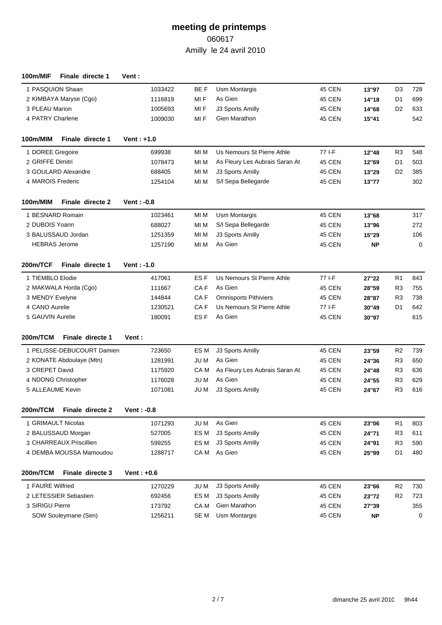| 100m/MIF          | Finale directe 1           | Vent :             |                 |                                |               |           |                |     |
|-------------------|----------------------------|--------------------|-----------------|--------------------------------|---------------|-----------|----------------|-----|
| 1 PASQUION Shaan  |                            | 1033422            | BE F            | Usm Montargis                  | 45 CEN        | 13"97     | D <sub>3</sub> | 728 |
|                   | 2 KIMBAYA Maryse (Cgo)     | 1116819            | MI F            | As Gien                        | <b>45 CEN</b> | 14"18     | D <sub>1</sub> | 699 |
| 3 PLEAU Marion    |                            | 1005693            | MI F            | J3 Sports Amilly               | <b>45 CEN</b> | 14"68     | D <sub>2</sub> | 633 |
| 4 PATRY Charlene  |                            | 1009030            | MI F            | Gien Marathon                  | 45 CEN        | 15"41     |                | 542 |
| 100m/MIM          | Finale directe 1           | <b>Vent</b> : +1.0 |                 |                                |               |           |                |     |
| 1 DOREE Gregoire  |                            | 699938             | MI M            | Us Nemours St Pierre Athle     | 77 I-F        | 12"48     | R <sub>3</sub> | 548 |
| 2 GRIFFE Dimitri  |                            | 1078473            | MI M            | As Fleury Les Aubrais Saran At | 45 CEN        | 12"69     | D <sub>1</sub> | 503 |
|                   | 3 GOULARD Alexandre        | 688405             | MI M            | J3 Sports Amilly               | <b>45 CEN</b> | 13"29     | D <sub>2</sub> | 385 |
| 4 MAROIS Frederic |                            | 1254104            | MI M            | S/I Sepa Bellegarde            | <b>45 CEN</b> | 13"77     |                | 302 |
| 100m/MIM          | Finale directe 2           | <b>Vent: -0.8</b>  |                 |                                |               |           |                |     |
| 1 BESNARD Romain  |                            | 1023461            | MI M            | <b>Usm Montargis</b>           | 45 CEN        | 13"68     |                | 317 |
| 2 DUBOIS Yoann    |                            | 688027             | MI M            | S/I Sepa Bellegarde            | <b>45 CEN</b> | 13"96     |                | 272 |
|                   | 3 BALUSSAUD Jordan         | 1251359            | MI M            | J3 Sports Amilly               | <b>45 CEN</b> | 15"29     |                | 106 |
|                   | <b>HEBRAS</b> Jerome       | 1257190            | MI M            | As Gien                        | 45 CEN        | <b>NP</b> |                | 0   |
| 200m/TCF          | Finale directe 1           | Vent: -1.0         |                 |                                |               |           |                |     |
| 1 TIEMBLO Elodie  |                            | 417061             | ES <sub>F</sub> | Us Nemours St Pierre Athle     | $77$ I-F      | 27"22     | R <sub>1</sub> | 843 |
|                   | 2 MAKWALA Horda (Cgo)      | 111667             | CA <sub>F</sub> | As Gien                        | <b>45 CEN</b> | 28"59     | R <sub>3</sub> | 755 |
| 3 MENDY Evelyne   |                            | 144844             | CA F            | <b>Omnisports Pithiviers</b>   | 45 CEN        | 28"87     | R <sub>3</sub> | 738 |
| 4 CANO Aurelie    |                            | 1230521            | CA <sub>F</sub> | Us Nemours St Pierre Athle     | 77 I-F        | 30"49     | D <sub>1</sub> | 642 |
| 5 GAUVIN Aurelie  |                            | 180091             | ES <sub>F</sub> | As Gien                        | 45 CEN        | 30"97     |                | 615 |
| 200m/TCM          | Finale directe 1           | Vent :             |                 |                                |               |           |                |     |
|                   | 1 PELISSE-DEBUCOURT Damien | 723650             | ES M            | J3 Sports Amilly               | 45 CEN        | 23"59     | R <sub>2</sub> | 739 |
|                   | 2 KONATE Abdoulaye (Mtn)   | 1281991            | JU M            | As Gien                        | 45 CEN        | 24"36     | R <sub>3</sub> | 650 |
| 3 CREPET David    |                            | 1175920            | CA M            | As Fleury Les Aubrais Saran At | 45 CEN        | 24"48     | R <sub>3</sub> | 636 |
|                   | 4 NDONG Christopher        | 1176028            | JU M            | As Gien                        | 45 CEN        | 24"55     | R <sub>3</sub> | 629 |
| 5 ALLEAUME Kevin  |                            | 1071081            | JU M            | J3 Sports Amilly               | 45 CEN        | 24"67     | R <sub>3</sub> | 616 |
| 200m/TCM          | Finale directe 2           | Vent : - 0.8       |                 |                                |               |           |                |     |
|                   | 1 GRIMAULT Nicolas         | 1071293            | JU M            | As Gien                        | <b>45 CEN</b> | 23"06     | R <sub>1</sub> | 803 |
|                   | 2 BALUSSAUD Morgan         | 527005             | ES <sub>M</sub> | J3 Sports Amilly               | 45 CEN        | 24"71     | R <sub>3</sub> | 611 |
|                   | 3 CHARREAUX Priscillien    | 599255             | ES M            | J3 Sports Amilly               | <b>45 CEN</b> | 24"91     | R <sub>3</sub> | 590 |
|                   | 4 DEMBA MOUSSA Mamoudou    | 1288717            | CA M            | As Gien                        | <b>45 CEN</b> | 25"99     | D <sub>1</sub> | 480 |
| 200m/TCM          | Finale directe 3           | Vent: $+0.6$       |                 |                                |               |           |                |     |
| 1 FAURE Wilfried  |                            | 1270229            | JU M            | J3 Sports Amilly               | <b>45 CEN</b> | 23"66     | R <sub>2</sub> | 730 |
|                   | 2 LETESSIER Sebastien      | 692456             | ES <sub>M</sub> | J3 Sports Amilly               | <b>45 CEN</b> | 23"72     | R <sub>2</sub> | 723 |
| 3 SIRIGU Pierre   |                            | 173792             | CA M            | Gien Marathon                  | <b>45 CEN</b> | 27"39     |                | 355 |
|                   | SOW Souleymane (Sen)       | 1256211            | SE <sub>M</sub> | Usm Montargis                  | <b>45 CEN</b> | <b>NP</b> |                | 0   |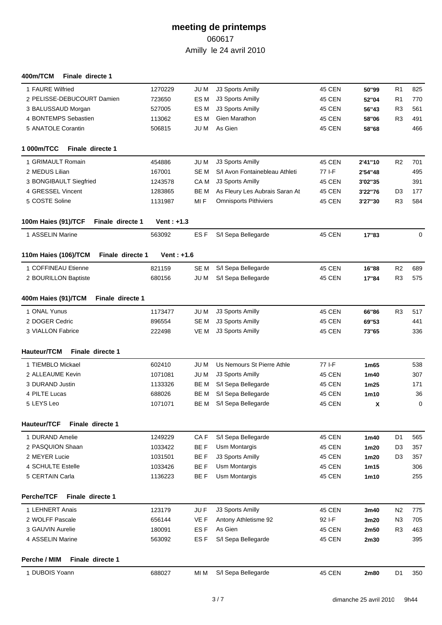#### **400m/TCM Finale directe 1**

| 1 FAURE Wilfried                         | 1270229      | JU M            | J3 Sports Amilly               | 45 CEN        | 50"99            | R <sub>1</sub> | 825         |
|------------------------------------------|--------------|-----------------|--------------------------------|---------------|------------------|----------------|-------------|
| 2 PELISSE-DEBUCOURT Damien               | 723650       | ES <sub>M</sub> | J3 Sports Amilly               | 45 CEN        | 52"04            | R <sub>1</sub> | 770         |
| 3 BALUSSAUD Morgan                       | 527005       | ES <sub>M</sub> | J3 Sports Amilly               | 45 CEN        | 56"43            | R <sub>3</sub> | 561         |
| 4 BONTEMPS Sebastien                     | 113062       | ES <sub>M</sub> | Gien Marathon                  | 45 CEN        | 58"06            | R <sub>3</sub> | 491         |
| 5 ANATOLE Corantin                       | 506815       | JU M            | As Gien                        | 45 CEN        | 58"68            |                | 466         |
| 1 000m/TCC<br>Finale directe 1           |              |                 |                                |               |                  |                |             |
| 1 GRIMAULT Romain                        | 454886       | JU M            | J3 Sports Amilly               | 45 CEN        | 2'41"10          | R <sub>2</sub> | 701         |
| 2 MEDUS Lilian                           | 167001       | SE <sub>M</sub> | S/I Avon Fontainebleau Athleti | 77 I-F        | 2'54"48          |                | 495         |
| 3 BONGIBAULT Siegfried                   | 1243578      | CA M            | J3 Sports Amilly               | 45 CEN        | 3'02"35          |                | 391         |
| 4 GRESSEL Vincent                        | 1283865      | BE M            | As Fleury Les Aubrais Saran At | 45 CEN        | 3'22"76          | D <sub>3</sub> | 177         |
| 5 COSTE Soline                           | 1131987      | MI F            | <b>Omnisports Pithiviers</b>   | 45 CEN        | 3'27"30          | R <sub>3</sub> | 584         |
| 100m Haies (91)/TCF<br>Finale directe 1  | Vent: $+1.3$ |                 |                                |               |                  |                |             |
| 1 ASSELIN Marine                         | 563092       | ES <sub>F</sub> | S/I Sepa Bellegarde            | 45 CEN        | 17"83            |                | $\mathbf 0$ |
| 110m Haies (106)/TCM<br>Finale directe 1 | Vent: $+1.6$ |                 |                                |               |                  |                |             |
| 1 COFFINEAU Etienne                      | 821159       | SE <sub>M</sub> | S/I Sepa Bellegarde            | 45 CEN        | 16"88            | R <sub>2</sub> | 689         |
| 2 BOURILLON Baptiste                     | 680156       | JU M            | S/I Sepa Bellegarde            | 45 CEN        | 17"84            | R <sub>3</sub> | 575         |
|                                          |              |                 |                                |               |                  |                |             |
| 400m Haies (91)/TCM<br>Finale directe 1  |              |                 |                                |               |                  |                |             |
| 1 ONAL Yunus                             | 1173477      | JU M            | J3 Sports Amilly               | 45 CEN        | 66"86            | R <sub>3</sub> | 517         |
| 2 DOGER Cedric                           | 896554       | SE <sub>M</sub> | J3 Sports Amilly               | <b>45 CEN</b> | 69"53            |                | 441         |
| 3 VIALLON Fabrice                        | 222498       | VE M            | J3 Sports Amilly               | <b>45 CEN</b> | 73"65            |                | 336         |
| Hauteur/TCM<br>Finale directe 1          |              |                 |                                |               |                  |                |             |
| 1 TIEMBLO Mickael                        | 602410       | <b>JUM</b>      | Us Nemours St Pierre Athle     | $77$ I-F      | 1m65             |                | 538         |
| 2 ALLEAUME Kevin                         | 1071081      | JU M            | J3 Sports Amilly               | <b>45 CEN</b> | 1m40             |                | 307         |
| 3 DURAND Justin                          | 1133326      | BE M            | S/I Sepa Bellegarde            | 45 CEN        | 1 <sub>m25</sub> |                | 171         |
| 4 PILTE Lucas                            | 688026       | BE M            | S/I Sepa Bellegarde            | 45 CEN        | 1 <sub>m10</sub> |                | 36          |
| 5 LEYS Leo                               | 1071071      | BE M            | S/I Sepa Bellegarde            | 45 CEN        | X                |                | 0           |
| Hauteur/TCF<br>Finale directe 1          |              |                 |                                |               |                  |                |             |
| 1 DURAND Amelie                          | 1249229      | CA <sub>F</sub> | S/I Sepa Bellegarde            | <b>45 CEN</b> | 1m40             | D <sub>1</sub> | 565         |
| 2 PASQUION Shaan                         | 1033422      | BE F            | Usm Montargis                  | 45 CEN        | 1m20             | D <sub>3</sub> | 357         |
| 2 MEYER Lucie                            | 1031501      | BE F            | J3 Sports Amilly               | <b>45 CEN</b> | 1m20             | D <sub>3</sub> | 357         |
| 4 SCHULTE Estelle                        | 1033426      | BE F            | <b>Usm Montargis</b>           | 45 CEN        | 1m15             |                | 306         |
| 5 CERTAIN Carla                          | 1136223      | BE F            | Usm Montargis                  | <b>45 CEN</b> | 1m10             |                | 255         |
| Perche/TCF<br>Finale directe 1           |              |                 |                                |               |                  |                |             |
| 1 LEHNERT Anais                          | 123179       | JU F            | J3 Sports Amilly               | 45 CEN        | 3m40             | N2             | 775         |
| 2 WOLFF Pascale                          | 656144       | VE F            | Antony Athletisme 92           | 92 I-F        | 3m20             | N <sub>3</sub> | 705         |
| 3 GAUVIN Aurelie                         | 180091       | ES F            | As Gien                        | 45 CEN        | 2m50             | R <sub>3</sub> | 463         |
| 4 ASSELIN Marine                         | 563092       | ES F            | S/I Sepa Bellegarde            | <b>45 CEN</b> | 2m30             |                | 395         |
| Perche / MIM<br>Finale directe 1         |              |                 |                                |               |                  |                |             |
| 1 DUBOIS Yoann                           | 688027       | MI M            | S/I Sepa Bellegarde            | <b>45 CEN</b> | 2m80             | D <sub>1</sub> | 350         |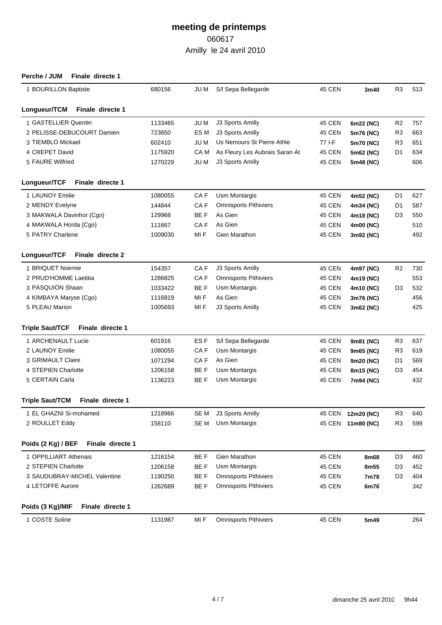| Perche / JUM<br>Finale directe 1           |         |                 |                                |               |                   |                |     |
|--------------------------------------------|---------|-----------------|--------------------------------|---------------|-------------------|----------------|-----|
| 1 BOURILLON Baptiste                       | 680156  | JU M            | S/I Sepa Bellegarde            | 45 CEN        | 3m40              | R <sub>3</sub> | 513 |
| Longueur/TCM<br>Finale directe 1           |         |                 |                                |               |                   |                |     |
| 1 GASTELLIER Quentin                       | 1133465 | JU M            | J3 Sports Amilly               | 45 CEN        | 6m22 (NC)         | R <sub>2</sub> | 757 |
| 2 PELISSE-DEBUCOURT Damien                 | 723650  | ES M            | J3 Sports Amilly               | 45 CEN        | 5m76 (NC)         | R <sub>3</sub> | 663 |
| 3 TIEMBLO Mickael                          | 602410  | JU M            | Us Nemours St Pierre Athle     | 77 I-F        | 5m70 (NC)         | R <sub>3</sub> | 651 |
| 4 CREPET David                             | 1175920 | CA M            | As Fleury Les Aubrais Saran At | 45 CEN        | 5m62 (NC)         | D <sub>1</sub> | 634 |
| 5 FAURE Wilfried                           | 1270229 | JU M            | J3 Sports Amilly               | 45 CEN        | 5m48 (NC)         |                | 606 |
| Finale directe 1<br>Longueur/TCF           |         |                 |                                |               |                   |                |     |
| 1 LAUNOY Emilie                            | 1080055 | CA F            | Usm Montargis                  | 45 CEN        | 4m52 (NC)         | D <sub>1</sub> | 627 |
| 2 MENDY Evelyne                            | 144844  | CA <sub>F</sub> | <b>Omnisports Pithiviers</b>   | 45 CEN        | 4m34 (NC)         | D <sub>1</sub> | 587 |
| 3 MAKWALA Davinhor (Cgo)                   | 129968  | BE F            | As Gien                        | 45 CEN        | 4m18 (NC)         | D <sub>3</sub> | 550 |
| 4 MAKWALA Horda (Cgo)                      | 111667  | CA <sub>F</sub> | As Gien                        | 45 CEN        | 4m00 (NC)         |                | 510 |
| 5 PATRY Charlene                           | 1009030 | MI F            | Gien Marathon                  | 45 CEN        | 3m92 (NC)         |                | 492 |
| Longueur/TCF<br>Finale directe 2           |         |                 |                                |               |                   |                |     |
| 1 BRIQUET Noemie                           | 154357  | CAF             | J3 Sports Amilly               | 45 CEN        | 4m97 (NC)         | R <sub>2</sub> | 730 |
| 2 PRUD'HOMME Laetitia                      | 1286825 | CA F            | <b>Omnisports Pithiviers</b>   | 45 CEN        | 4m19 (NC)         |                | 553 |
| 3 PASQUION Shaan                           | 1033422 | BE F            | Usm Montargis                  | 45 CEN        | 4m10 (NC)         | D <sub>3</sub> | 532 |
| 4 KIMBAYA Maryse (Cgo)                     | 1116819 | MI F            | As Gien                        | 45 CEN        | 3m76 (NC)         |                | 456 |
| 5 PLEAU Marion                             | 1005693 | MI F            | J3 Sports Amilly               | 45 CEN        | 3m62 (NC)         |                | 425 |
| <b>Triple Saut/TCF</b><br>Finale directe 1 |         |                 |                                |               |                   |                |     |
| 1 ARCHENAULT Lucie                         | 601916  | ES F            | S/I Sepa Bellegarde            | 45 CEN        | 9m81 (NC)         | R <sub>3</sub> | 637 |
| 2 LAUNOY Emilie                            | 1080055 | CA F            | <b>Usm Montargis</b>           | 45 CEN        | 9m65 (NC)         | R <sub>3</sub> | 619 |
| 3 GRIMAULT Claire                          | 1071294 | CA <sub>F</sub> | As Gien                        | 45 CEN        | 9m20 (NC)         | D <sub>1</sub> | 569 |
| 4 STEPIEN Charlotte                        | 1206158 | BE F            | Usm Montargis                  | 45 CEN        | 8m15 (NC)         | D <sub>3</sub> | 454 |
| 5 CERTAIN Carla                            | 1136223 | BE F            | Usm Montargis                  | 45 CEN        | 7m94 (NC)         |                | 432 |
| <b>Triple Saut/TCM</b><br>Finale directe 1 |         |                 |                                |               |                   |                |     |
| 1 EL GHAZNI Si-mohamed                     | 1218966 | SE M            | J3 Sports Amilly               |               | 45 CEN 12m20 (NC) | R <sub>3</sub> | 640 |
| 2 ROULLET Eddy                             | 158110  | SE M            | <b>Usm Montargis</b>           |               | 45 CEN 11m80 (NC) | R <sub>3</sub> | 599 |
| Poids (2 Kg) / BEF<br>Finale directe 1     |         |                 |                                |               |                   |                |     |
| 1 OPPILLIART Athenais                      | 1216154 | BE F            | Gien Marathon                  | 45 CEN        | 8m68              | D <sub>3</sub> | 460 |
| 2 STEPIEN Charlotte                        | 1206158 | BE F            | Usm Montargis                  | <b>45 CEN</b> | 8m55              | D3             | 452 |
| 3 SAUDUBRAY-MICHEL Valentine               | 1190250 | BE F            | <b>Omnisports Pithiviers</b>   | <b>45 CEN</b> | 7m78              | D3             | 404 |
| 4 LETOFFE Aurore                           | 1262689 | BE F            | <b>Omnisports Pithiviers</b>   | <b>45 CEN</b> | 6m76              |                | 342 |
| Poids (3 Kg)/MIF<br>Finale directe 1       |         |                 |                                |               |                   |                |     |
| 1 COSTE Soline                             | 1131987 | MI F            | <b>Omnisports Pithiviers</b>   | 45 CEN        | 5m49              |                | 264 |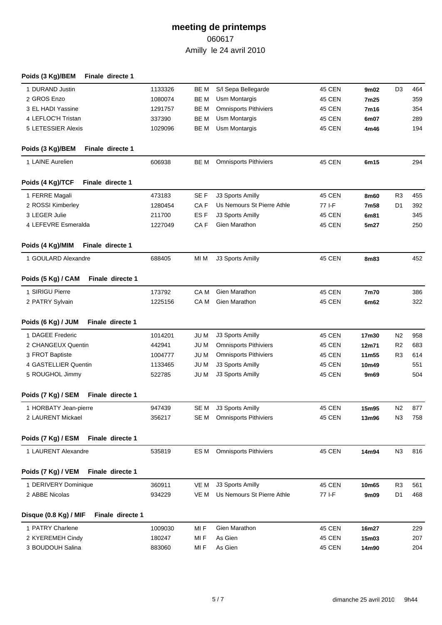| Poids (3 Kg)/BEM<br>Finale directe 1      |         |                 |                              |               |       |                |     |
|-------------------------------------------|---------|-----------------|------------------------------|---------------|-------|----------------|-----|
| 1 DURAND Justin                           | 1133326 | BE M            | S/I Sepa Bellegarde          | 45 CEN        | 9m02  | D <sub>3</sub> | 464 |
| 2 GROS Enzo                               | 1080074 | BE M            | Usm Montargis                | <b>45 CEN</b> | 7m25  |                | 359 |
| 3 EL HADI Yassine                         | 1291757 | BE M            | <b>Omnisports Pithiviers</b> | <b>45 CEN</b> | 7m16  |                | 354 |
| 4 LEFLOC'H Tristan                        | 337390  | BE M            | <b>Usm Montargis</b>         | 45 CEN        | 6m07  |                | 289 |
| 5 LETESSIER Alexis                        | 1029096 | BE M            | Usm Montargis                | <b>45 CEN</b> | 4m46  |                | 194 |
| Poids (3 Kg)/BEM<br>Finale directe 1      |         |                 |                              |               |       |                |     |
| 1 LAINE Aurelien                          | 606938  | BE M            | <b>Omnisports Pithiviers</b> | 45 CEN        | 6m15  |                | 294 |
| Poids (4 Kg)/TCF<br>Finale directe 1      |         |                 |                              |               |       |                |     |
| 1 FERRE Magali                            | 473183  | SE F            | J3 Sports Amilly             | 45 CEN        | 8m60  | R <sub>3</sub> | 455 |
| 2 ROSSI Kimberley                         | 1280454 | CA F            | Us Nemours St Pierre Athle   | 77 I-F        | 7m58  | D1             | 392 |
| 3 LEGER Julie                             | 211700  | ES <sub>F</sub> | J3 Sports Amilly             | <b>45 CEN</b> | 6m81  |                | 345 |
| 4 LEFEVRE Esmeralda                       | 1227049 | CA F            | Gien Marathon                | <b>45 CEN</b> | 5m27  |                | 250 |
| Poids (4 Kg)/MIM<br>Finale directe 1      |         |                 |                              |               |       |                |     |
| 1 GOULARD Alexandre                       | 688405  | MI M            | J3 Sports Amilly             | <b>45 CEN</b> | 8m83  |                | 452 |
| Finale directe 1<br>Poids (5 Kg) / CAM    |         |                 |                              |               |       |                |     |
| 1 SIRIGU Pierre                           | 173792  | CA M            | <b>Gien Marathon</b>         | 45 CEN        | 7m70  |                | 386 |
| 2 PATRY Sylvain                           | 1225156 | CA M            | <b>Gien Marathon</b>         | <b>45 CEN</b> | 6m62  |                | 322 |
| Finale directe 1<br>Poids (6 Kg) / JUM    |         |                 |                              |               |       |                |     |
| 1 DAGEE Frederic                          | 1014201 | JU M            | J3 Sports Amilly             | 45 CEN        | 17m30 | N <sub>2</sub> | 958 |
| 2 CHANGEUX Quentin                        | 442941  | JU M            | <b>Omnisports Pithiviers</b> | <b>45 CEN</b> | 12m71 | R <sub>2</sub> | 683 |
| 3 FROT Baptiste                           | 1004777 | JU M            | <b>Omnisports Pithiviers</b> | 45 CEN        | 11m55 | R <sub>3</sub> | 614 |
| 4 GASTELLIER Quentin                      | 1133465 | <b>JUM</b>      | J3 Sports Amilly             | <b>45 CEN</b> | 10m49 |                | 551 |
| 5 ROUGHOL Jimmy                           | 522785  | <b>JUM</b>      | J3 Sports Amilly             | 45 CEN        | 9m69  |                | 504 |
| Finale directe 1<br>Poids (7 Kg) / SEM    |         |                 |                              |               |       |                |     |
| 1 HORBATY Jean-pierre                     | 947439  |                 | SE M J3 Sports Amilly        | <b>45 CEN</b> | 15m95 | N <sub>2</sub> | 877 |
| 2 LAURENT Mickael                         | 356217  | SE M            | <b>Omnisports Pithiviers</b> | <b>45 CEN</b> | 13m96 | N <sub>3</sub> | 758 |
| Poids (7 Kg) / ESM<br>Finale directe 1    |         |                 |                              |               |       |                |     |
| 1 LAURENT Alexandre                       | 535819  | ES M            | <b>Omnisports Pithiviers</b> | <b>45 CEN</b> | 14m94 | N <sub>3</sub> | 816 |
| Poids (7 Kg) / VEM<br>Finale directe 1    |         |                 |                              |               |       |                |     |
| 1 DERIVERY Dominique                      | 360911  | VE M            | J3 Sports Amilly             | <b>45 CEN</b> | 10m65 | R <sub>3</sub> | 561 |
| 2 ABBE Nicolas                            | 934229  | VE M            | Us Nemours St Pierre Athle   | 77 I-F        | 9m09  | D <sub>1</sub> | 468 |
| Finale directe 1<br>Disque (0.8 Kg) / MIF |         |                 |                              |               |       |                |     |
| 1 PATRY Charlene                          | 1009030 | MI F            | Gien Marathon                | <b>45 CEN</b> | 16m27 |                | 229 |
| 2 KYEREMEH Cindy                          | 180247  | MI F            | As Gien                      | <b>45 CEN</b> | 15m03 |                | 207 |
| 3 BOUDOUH Salina                          | 883060  | MI F            | As Gien                      | <b>45 CEN</b> | 14m90 |                | 204 |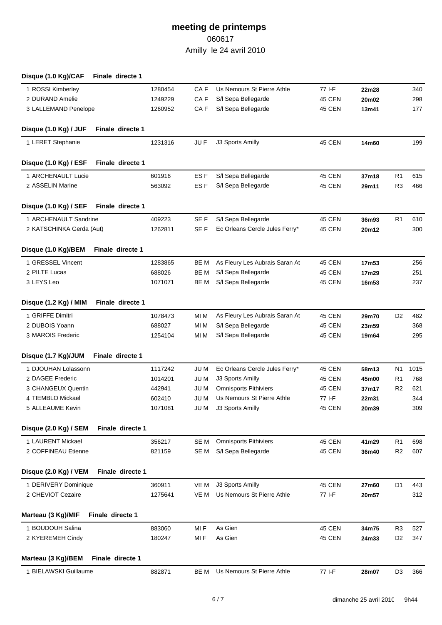| Disque (1.0 Kg)/CAF      | Finale directe 1 |         |                 |                                |               |       |                |      |
|--------------------------|------------------|---------|-----------------|--------------------------------|---------------|-------|----------------|------|
| 1 ROSSI Kimberley        |                  | 1280454 | CA F            | Us Nemours St Pierre Athle     | 77 I-F        | 22m28 |                | 340  |
| 2 DURAND Amelie          |                  | 1249229 | CA <sub>F</sub> | S/I Sepa Bellegarde            | 45 CEN        | 20m02 |                | 298  |
| 3 LALLEMAND Penelope     |                  | 1260952 | CA F            | S/I Sepa Bellegarde            | <b>45 CEN</b> | 13m41 |                | 177  |
| Disque (1.0 Kg) / JUF    | Finale directe 1 |         |                 |                                |               |       |                |      |
| 1 LERET Stephanie        |                  | 1231316 | JU F            | J3 Sports Amilly               | <b>45 CEN</b> | 14m60 |                | 199  |
| Disque (1.0 Kg) / ESF    | Finale directe 1 |         |                 |                                |               |       |                |      |
| 1 ARCHENAULT Lucie       |                  | 601916  | ES F            | S/I Sepa Bellegarde            | 45 CEN        | 37m18 | R <sub>1</sub> | 615  |
| 2 ASSELIN Marine         |                  | 563092  | ES <sub>F</sub> | S/I Sepa Bellegarde            | 45 CEN        | 29m11 | R <sub>3</sub> | 466  |
| Disque (1.0 Kg) / SEF    | Finale directe 1 |         |                 |                                |               |       |                |      |
| 1 ARCHENAULT Sandrine    |                  | 409223  | SE F            | S/I Sepa Bellegarde            | 45 CEN        | 36m93 | R <sub>1</sub> | 610  |
| 2 KATSCHINKA Gerda (Aut) |                  | 1262811 | SE F            | Ec Orleans Cercle Jules Ferry* | <b>45 CEN</b> | 20m12 |                | 300  |
|                          |                  |         |                 |                                |               |       |                |      |
| Disque (1.0 Kg)/BEM      | Finale directe 1 |         |                 |                                |               |       |                |      |
| 1 GRESSEL Vincent        |                  | 1283865 | be m            | As Fleury Les Aubrais Saran At | 45 CEN        | 17m53 |                | 256  |
| 2 PILTE Lucas            |                  | 688026  | BE M            | S/I Sepa Bellegarde            | 45 CEN        | 17m29 |                | 251  |
| 3 LEYS Leo               |                  | 1071071 | BE M            | S/I Sepa Bellegarde            | <b>45 CEN</b> | 16m53 |                | 237  |
| Disque (1.2 Kg) / MIM    | Finale directe 1 |         |                 |                                |               |       |                |      |
| 1 GRIFFE Dimitri         |                  | 1078473 | MI M            | As Fleury Les Aubrais Saran At | 45 CEN        | 29m70 | D <sub>2</sub> | 482  |
| 2 DUBOIS Yoann           |                  | 688027  | MI M            | S/I Sepa Bellegarde            | 45 CEN        | 23m59 |                | 368  |
| 3 MAROIS Frederic        |                  | 1254104 | MI M            | S/I Sepa Bellegarde            | <b>45 CEN</b> | 19m64 |                | 295  |
| Disque (1.7 Kg)/JUM      | Finale directe 1 |         |                 |                                |               |       |                |      |
| 1 DJOUHAN Lolassonn      |                  | 1117242 | JU M            | Ec Orleans Cercle Jules Ferry* | 45 CEN        | 58m13 | N <sub>1</sub> | 1015 |
| 2 DAGEE Frederic         |                  | 1014201 | JU M            | J3 Sports Amilly               | 45 CEN        | 45m00 | R <sub>1</sub> | 768  |
| 3 CHANGEUX Quentin       |                  | 442941  | JU M            | <b>Omnisports Pithiviers</b>   | <b>45 CEN</b> | 37m17 | R <sub>2</sub> | 621  |
| 4 TIEMBLO Mickael        |                  | 602410  | JU M            | Us Nemours St Pierre Athle     | 77 I-F        | 22m31 |                | 344  |
| 5 ALLEAUME Kevin         |                  | 1071081 |                 | JU M J3 Sports Amilly          | 45 CEN        | 20m39 |                | 309  |
| Disque (2.0 Kg) / SEM    | Finale directe 1 |         |                 |                                |               |       |                |      |
| 1 LAURENT Mickael        |                  | 356217  | SE M            | <b>Omnisports Pithiviers</b>   | 45 CEN        | 41m29 | R <sub>1</sub> | 698  |
| 2 COFFINEAU Etienne      |                  | 821159  | SE M            | S/I Sepa Bellegarde            | 45 CEN        | 36m40 | R <sub>2</sub> | 607  |
| Disque (2.0 Kg) / VEM    | Finale directe 1 |         |                 |                                |               |       |                |      |
| 1 DERIVERY Dominique     |                  | 360911  | VE M            | J3 Sports Amilly               | 45 CEN        | 27m60 | D1             | 443  |
| 2 CHEVIOT Cezaire        |                  | 1275641 | VE M            | Us Nemours St Pierre Athle     | 77 I-F        | 20m57 |                | 312  |
|                          | Finale directe 1 |         |                 |                                |               |       |                |      |
| Marteau (3 Kg)/MIF       |                  |         |                 |                                |               |       |                |      |
| 1 BOUDOUH Salina         |                  | 883060  | MI F            | As Gien                        | 45 CEN        | 34m75 | R <sub>3</sub> | 527  |
| 2 KYEREMEH Cindy         |                  | 180247  | MI F            | As Gien                        | 45 CEN        | 24m33 | D <sub>2</sub> | 347  |
| Marteau (3 Kg)/BEM       | Finale directe 1 |         |                 |                                |               |       |                |      |
| 1 BIELAWSKI Guillaume    |                  | 882871  | BE M            | Us Nemours St Pierre Athle     | 77 I-F        | 28m07 | D <sub>3</sub> | 366  |